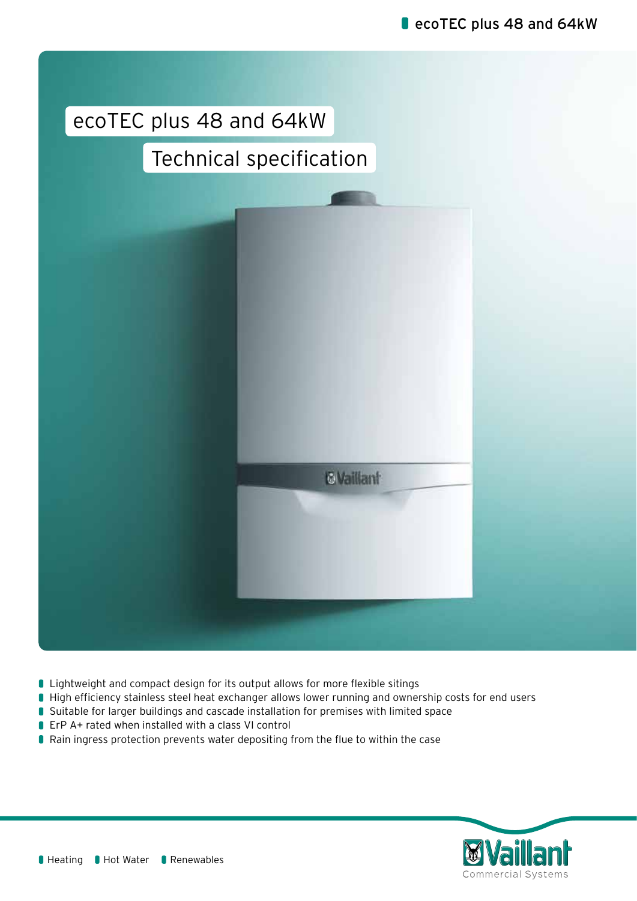# ecoTEC plus 48 and 64kW

# Technical specification



- **I** Lightweight and compact design for its output allows for more flexible sitings
- High efficiency stainless steel heat exchanger allows lower running and ownership costs for end users
- **Suitable for larger buildings and cascade installation for premises with limited space**
- ErP A+ rated when installed with a class VI control
- Rain ingress protection prevents water depositing from the flue to within the case

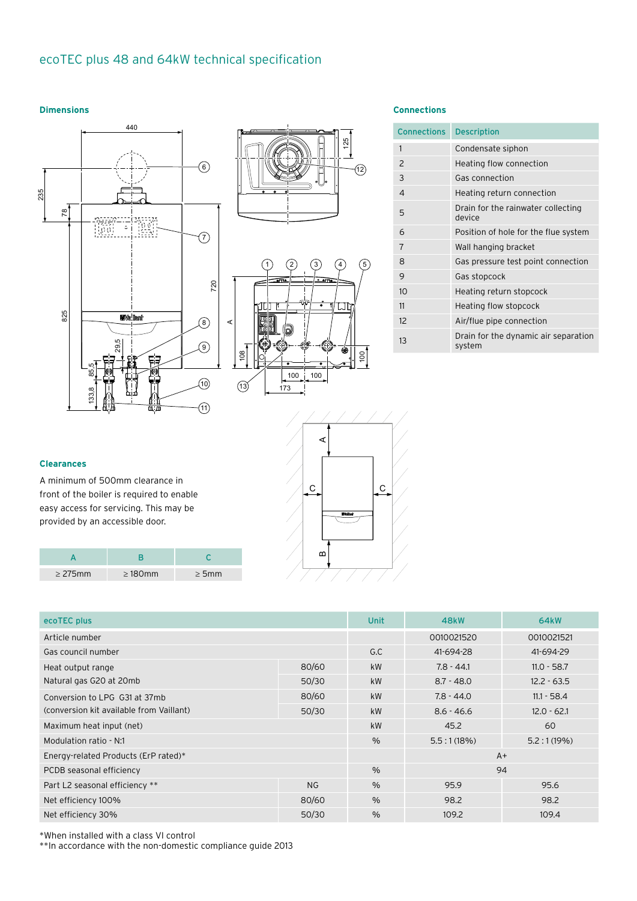### A 29,5 ecoTEC plus 48 and 64kW technical specification

#### **Dimensions**







 $120$ 

### **Dimensions Connections**

| <b>Connections</b> | <b>Description</b>                             |
|--------------------|------------------------------------------------|
| $\mathbf{1}$       | Condensate siphon                              |
| 2                  | Heating flow connection                        |
| 3                  | Gas connection                                 |
| 4                  | Heating return connection                      |
| 5                  | Drain for the rainwater collecting<br>device   |
| 6                  | Position of hole for the flue system           |
| 7                  | Wall hanging bracket                           |
| 8                  | Gas pressure test point connection             |
| 9                  | Gas stopcock                                   |
| 10                 | Heating return stopcock                        |
| 11                 | Heating flow stopcock                          |
| 12                 | Air/flue pipe connection                       |
| 13                 | Drain for the dynamic air separation<br>system |

## **Clearances**

A minimum of 500mm clearance in front of the boiler is required to enable easy access for servicing. This may be provided by an accessible door.

| $>275$ mm | $\geq 180$ mm | > 5mm |
|-----------|---------------|-------|

| ecoTEC plus                              | <b>Unit</b> | <b>48kW</b>   | <b>64kW</b>  |               |
|------------------------------------------|-------------|---------------|--------------|---------------|
| Article number                           |             | 0010021520    | 0010021521   |               |
| Gas council number                       | G.C         | 41-694-28     | 41-694-29    |               |
| Heat output range                        | 80/60       | <b>kW</b>     | $7.8 - 44.1$ | $11.0 - 58.7$ |
| Natural gas G20 at 20mb                  | 50/30       | <b>kW</b>     | $8.7 - 48.0$ | $12.2 - 63.5$ |
| Conversion to LPG G31 at 37mb            | 80/60       | <b>kW</b>     | $7.8 - 44.0$ | $11.1 - 58.4$ |
| (conversion kit available from Vaillant) | 50/30       | <b>kW</b>     | $8.6 - 46.6$ | $12.0 - 62.1$ |
| Maximum heat input (net)                 | <b>kW</b>   | 45.2          | 60           |               |
| Modulation ratio - N:1                   | $\%$        | 5.5:1(18%)    | 5.2:1(19%)   |               |
| Energy-related Products (ErP rated)*     |             |               | $A+$         |               |
| PCDB seasonal efficiency                 |             | $\frac{0}{0}$ | 94           |               |
| Part L2 seasonal efficiency **           | <b>NG</b>   | $\frac{0}{0}$ | 95.9         | 95.6          |
| Net efficiency 100%                      | 80/60       | $\%$          | 98.2         | 98.2          |
| Net efficiency 30%                       | 50/30       | $\%$          | 109.2        | 109.4         |
|                                          |             |               |              |               |

 $c$   $|c$ 

A

 $\mathbf{D}$ 

\*When installed with a class VI control

\*\*In accordance with the non-domestic compliance guide 2013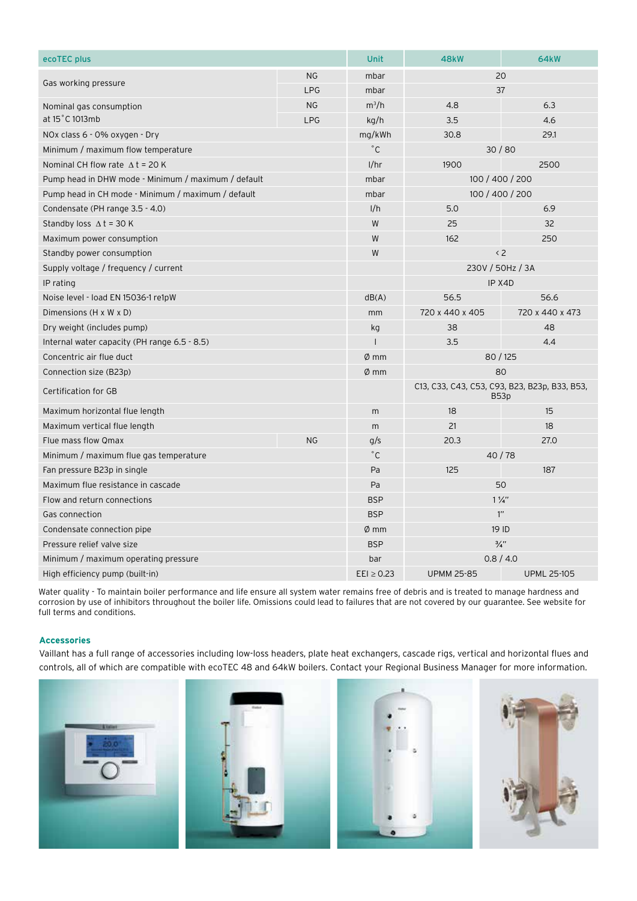| ecoTEC plus                                         | <b>Unit</b>      | <b>48kW</b>                                           | <b>64kW</b>        |                 |
|-----------------------------------------------------|------------------|-------------------------------------------------------|--------------------|-----------------|
|                                                     | <b>NG</b>        | mbar                                                  | 20                 |                 |
| Gas working pressure                                | <b>LPG</b>       | mbar                                                  | 37                 |                 |
| Nominal gas consumption                             | <b>NG</b>        | $m^3/h$                                               | 4.8                | 6.3             |
| at 15°C 1013mb                                      | <b>LPG</b>       | kq/h                                                  | 3.5                | 4.6             |
| NOx class 6 - 0% oxygen - Dry                       |                  | mg/kWh                                                | 30.8               | 29.1            |
| Minimum / maximum flow temperature                  |                  | $^{\circ}$ C                                          | 30/80              |                 |
| Nominal CH flow rate $\Delta t = 20$ K              |                  | 1/hr                                                  | 1900               | 2500            |
| Pump head in DHW mode - Minimum / maximum / default |                  | mbar                                                  | 100 / 400 / 200    |                 |
| Pump head in CH mode - Minimum / maximum / default  | mbar             | 100 / 400 / 200                                       |                    |                 |
| Condensate (PH range 3.5 - 4.0)                     |                  | 1/h                                                   | 5.0                | 6.9             |
| Standby loss $\Delta t = 30$ K                      | W                | 25                                                    | 32                 |                 |
| Maximum power consumption                           |                  | W                                                     | 162                | 250             |
| Standby power consumption                           | W                | $\langle 2$                                           |                    |                 |
| Supply voltage / frequency / current                |                  | 230V / 50Hz / 3A                                      |                    |                 |
| IP rating                                           |                  | IP X4D                                                |                    |                 |
| Noise level - load EN 15036-1 re1pW                 |                  | dB(A)                                                 | 56.5               | 56.6            |
| Dimensions (H x W x D)                              |                  | mm                                                    | 720 x 440 x 405    | 720 x 440 x 473 |
| Dry weight (includes pump)                          |                  | kg                                                    | 38                 | 48              |
| Internal water capacity (PH range 6.5 - 8.5)        |                  | 3.5                                                   | 4.4                |                 |
| Concentric air flue duct                            |                  | $\emptyset$ mm                                        | 80 / 125           |                 |
| Connection size (B23p)                              |                  | $\emptyset$ mm                                        | 80                 |                 |
| Certification for GB                                |                  | C13, C33, C43, C53, C93, B23, B23p, B33, B53,<br>B53p |                    |                 |
| Maximum horizontal flue length                      |                  | m                                                     | 18                 | 15              |
| Maximum vertical flue length                        |                  | m                                                     | 21                 | 18              |
| Flue mass flow Omax                                 | NG               | g/s                                                   | 20.3               | 27.0            |
| Minimum / maximum flue gas temperature              |                  | $^{\circ}$ C                                          | 40 / 78            |                 |
| Fan pressure B23p in single                         | Pa               | 125                                                   | 187                |                 |
| Maximum flue resistance in cascade                  | Pa               | 50                                                    |                    |                 |
| Flow and return connections                         | <b>BSP</b>       | $1\frac{1}{4}$                                        |                    |                 |
| Gas connection                                      | <b>BSP</b>       | $1^{\prime\prime}$                                    |                    |                 |
| Condensate connection pipe                          | $\emptyset$ mm   | 19 ID                                                 |                    |                 |
| Pressure relief valve size                          | <b>BSP</b>       | $\frac{3}{4}$ "                                       |                    |                 |
| Minimum / maximum operating pressure                | bar              | 0.8 / 4.0                                             |                    |                 |
| High efficiency pump (built-in)                     | $E E I \ge 0.23$ | <b>UPMM 25-85</b>                                     | <b>UPML 25-105</b> |                 |

Water quality - To maintain boiler performance and life ensure all system water remains free of debris and is treated to manage hardness and corrosion by use of inhibitors throughout the boiler life. Omissions could lead to failures that are not covered by our guarantee. See website for full terms and conditions.

### **Accessories**

Vaillant has a full range of accessories including low-loss headers, plate heat exchangers, cascade rigs, vertical and horizontal flues and controls, all of which are compatible with ecoTEC 48 and 64kW boilers. Contact your Regional Business Manager for more information.